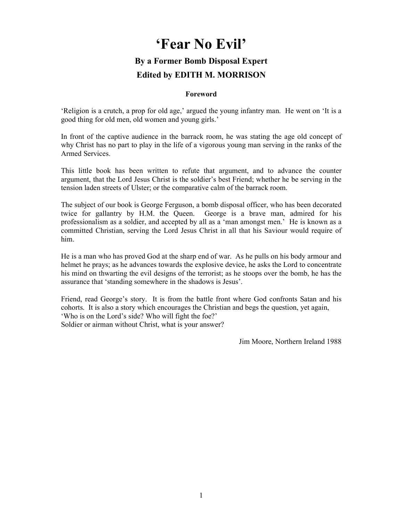# 'Fear No Evil'

# By a Former Bomb Disposal Expert Edited by EDITH M. MORRISON

#### Foreword

'Religion is a crutch, a prop for old age,' argued the young infantry man. He went on 'It is a good thing for old men, old women and young girls.'

In front of the captive audience in the barrack room, he was stating the age old concept of why Christ has no part to play in the life of a vigorous young man serving in the ranks of the Armed Services.

This little book has been written to refute that argument, and to advance the counter argument, that the Lord Jesus Christ is the soldier's best Friend; whether he be serving in the tension laden streets of Ulster; or the comparative calm of the barrack room.

The subject of our book is George Ferguson, a bomb disposal officer, who has been decorated twice for gallantry by H.M. the Queen. George is a brave man, admired for his professionalism as a soldier, and accepted by all as a 'man amongst men.' He is known as a committed Christian, serving the Lord Jesus Christ in all that his Saviour would require of him.

He is a man who has proved God at the sharp end of war. As he pulls on his body armour and helmet he prays; as he advances towards the explosive device, he asks the Lord to concentrate his mind on thwarting the evil designs of the terrorist; as he stoops over the bomb, he has the assurance that 'standing somewhere in the shadows is Jesus'.

Friend, read George's story. It is from the battle front where God confronts Satan and his cohorts. It is also a story which encourages the Christian and begs the question, yet again, 'Who is on the Lord's side? Who will fight the foe?' Soldier or airman without Christ, what is your answer?

Jim Moore, Northern Ireland 1988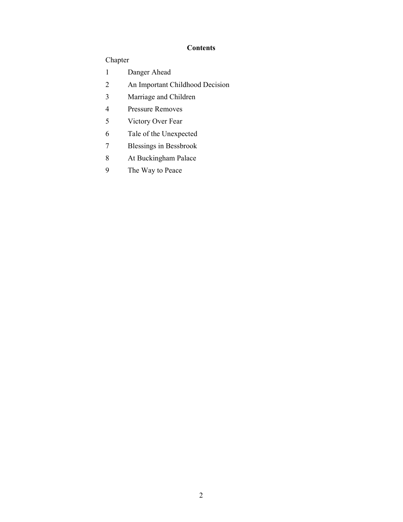# **Contents**

# Chapter

- Danger Ahead
- An Important Childhood Decision
- Marriage and Children
- Pressure Removes
- Victory Over Fear
- Tale of the Unexpected
- Blessings in Bessbrook
- At Buckingham Palace
- The Way to Peace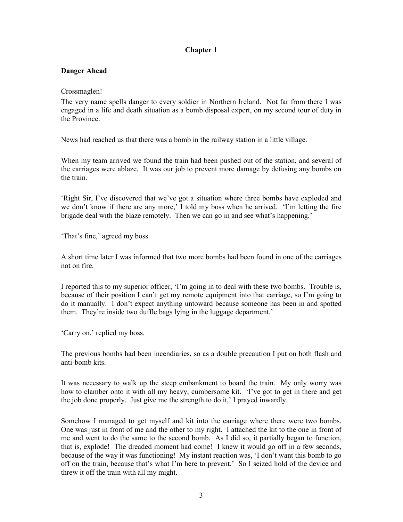#### Danger Ahead

#### Crossmaglen!

The very name spells danger to every soldier in Northern Ireland. Not far from there I was engaged in a life and death situation as a bomb disposal expert, on my second tour of duty in the Province.

News had reached us that there was a bomb in the railway station in a little village.

When my team arrived we found the train had been pushed out of the station, and several of the carriages were ablaze. It was our job to prevent more damage by defusing any bombs on the train.

'Right Sir, I've discovered that we've got a situation where three bombs have exploded and we don't know if there are any more,' I told my boss when he arrived. 'I'm letting the fire brigade deal with the blaze remotely. Then we can go in and see what's happening.'

'That's fine,' agreed my boss.

A short time later I was informed that two more bombs had been found in one of the carriages not on fire.

I reported this to my superior officer, 'I'm going in to deal with these two bombs. Trouble is, because of their position I can't get my remote equipment into that carriage, so I'm going to do it manually. I don't expect anything untoward because someone has been in and spotted them. They're inside two duffle bags lying in the luggage department.'

'Carry on,' replied my boss.

The previous bombs had been incendiaries, so as a double precaution I put on both flash and anti-bomb kits.

It was necessary to walk up the steep embankment to board the train. My only worry was how to clamber onto it with all my heavy, cumbersome kit. 'I've got to get in there and get the job done properly. Just give me the strength to do it,' I prayed inwardly.

Somehow I managed to get myself and kit into the carriage where there were two bombs. One was just in front of me and the other to my right. I attached the kit to the one in front of me and went to do the same to the second bomb. As I did so, it partially began to function, that is, explode! The dreaded moment had come! I knew it would go off in a few seconds, because of the way it was functioning! My instant reaction was, 'I don't want this bomb to go off on the train, because that's what I'm here to prevent.' So I seized hold of the device and threw it off the train with all my might.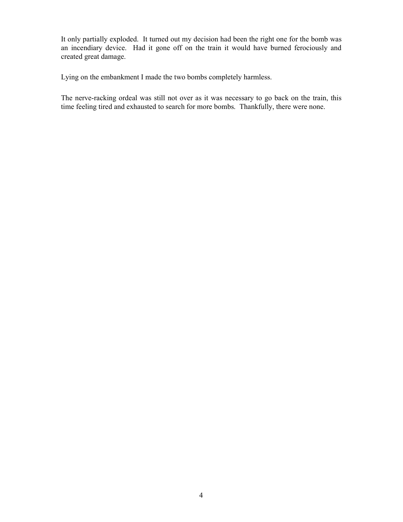It only partially exploded. It turned out my decision had been the right one for the bomb was an incendiary device. Had it gone off on the train it would have burned ferociously and created great damage.

Lying on the embankment I made the two bombs completely harmless.

The nerve-racking ordeal was still not over as it was necessary to go back on the train, this time feeling tired and exhausted to search for more bombs. Thankfully, there were none.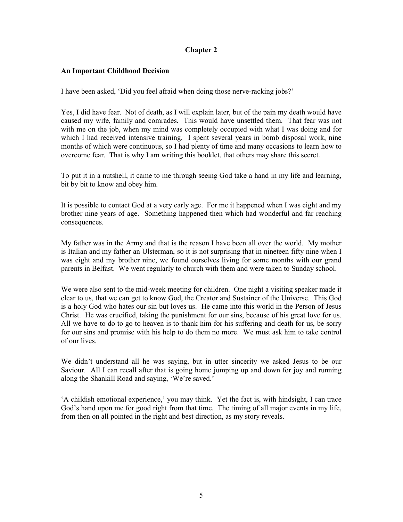#### An Important Childhood Decision

I have been asked, 'Did you feel afraid when doing those nerve-racking jobs?'

Yes, I did have fear. Not of death, as I will explain later, but of the pain my death would have caused my wife, family and comrades. This would have unsettled them. That fear was not with me on the job, when my mind was completely occupied with what I was doing and for which I had received intensive training. I spent several years in bomb disposal work, nine months of which were continuous, so I had plenty of time and many occasions to learn how to overcome fear. That is why I am writing this booklet, that others may share this secret.

To put it in a nutshell, it came to me through seeing God take a hand in my life and learning, bit by bit to know and obey him.

It is possible to contact God at a very early age. For me it happened when I was eight and my brother nine years of age. Something happened then which had wonderful and far reaching consequences.

My father was in the Army and that is the reason I have been all over the world. My mother is Italian and my father an Ulsterman, so it is not surprising that in nineteen fifty nine when I was eight and my brother nine, we found ourselves living for some months with our grand parents in Belfast. We went regularly to church with them and were taken to Sunday school.

We were also sent to the mid-week meeting for children. One night a visiting speaker made it clear to us, that we can get to know God, the Creator and Sustainer of the Universe. This God is a holy God who hates our sin but loves us. He came into this world in the Person of Jesus Christ. He was crucified, taking the punishment for our sins, because of his great love for us. All we have to do to go to heaven is to thank him for his suffering and death for us, be sorry for our sins and promise with his help to do them no more. We must ask him to take control of our lives.

We didn't understand all he was saying, but in utter sincerity we asked Jesus to be our Saviour. All I can recall after that is going home jumping up and down for joy and running along the Shankill Road and saying, 'We're saved.'

'A childish emotional experience,' you may think. Yet the fact is, with hindsight, I can trace God's hand upon me for good right from that time. The timing of all major events in my life, from then on all pointed in the right and best direction, as my story reveals.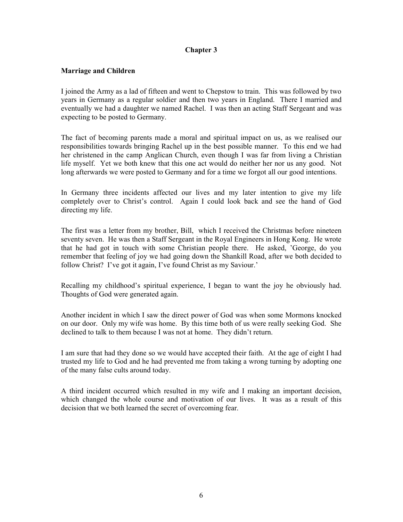#### Marriage and Children

I joined the Army as a lad of fifteen and went to Chepstow to train. This was followed by two years in Germany as a regular soldier and then two years in England. There I married and eventually we had a daughter we named Rachel. I was then an acting Staff Sergeant and was expecting to be posted to Germany.

The fact of becoming parents made a moral and spiritual impact on us, as we realised our responsibilities towards bringing Rachel up in the best possible manner. To this end we had her christened in the camp Anglican Church, even though I was far from living a Christian life myself. Yet we both knew that this one act would do neither her nor us any good. Not long afterwards we were posted to Germany and for a time we forgot all our good intentions.

In Germany three incidents affected our lives and my later intention to give my life completely over to Christ's control. Again I could look back and see the hand of God directing my life.

The first was a letter from my brother, Bill, which I received the Christmas before nineteen seventy seven. He was then a Staff Sergeant in the Royal Engineers in Hong Kong. He wrote that he had got in touch with some Christian people there. He asked, 'George, do you remember that feeling of joy we had going down the Shankill Road, after we both decided to follow Christ? I've got it again, I've found Christ as my Saviour.'

Recalling my childhood's spiritual experience, I began to want the joy he obviously had. Thoughts of God were generated again.

Another incident in which I saw the direct power of God was when some Mormons knocked on our door. Only my wife was home. By this time both of us were really seeking God. She declined to talk to them because I was not at home. They didn't return.

I am sure that had they done so we would have accepted their faith. At the age of eight I had trusted my life to God and he had prevented me from taking a wrong turning by adopting one of the many false cults around today.

A third incident occurred which resulted in my wife and I making an important decision, which changed the whole course and motivation of our lives. It was as a result of this decision that we both learned the secret of overcoming fear.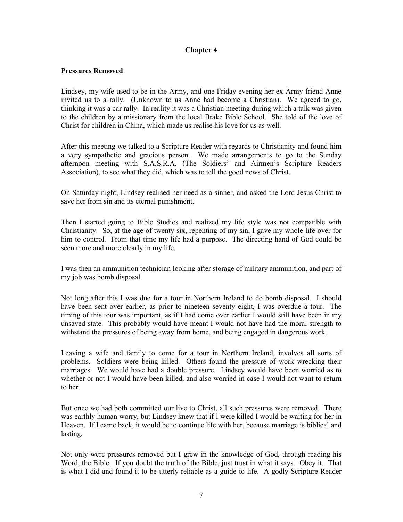#### Pressures Removed

Lindsey, my wife used to be in the Army, and one Friday evening her ex-Army friend Anne invited us to a rally. (Unknown to us Anne had become a Christian). We agreed to go, thinking it was a car rally. In reality it was a Christian meeting during which a talk was given to the children by a missionary from the local Brake Bible School. She told of the love of Christ for children in China, which made us realise his love for us as well.

After this meeting we talked to a Scripture Reader with regards to Christianity and found him a very sympathetic and gracious person. We made arrangements to go to the Sunday afternoon meeting with S.A.S.R.A. (The Soldiers' and Airmen's Scripture Readers Association), to see what they did, which was to tell the good news of Christ.

On Saturday night, Lindsey realised her need as a sinner, and asked the Lord Jesus Christ to save her from sin and its eternal punishment.

Then I started going to Bible Studies and realized my life style was not compatible with Christianity. So, at the age of twenty six, repenting of my sin, I gave my whole life over for him to control. From that time my life had a purpose. The directing hand of God could be seen more and more clearly in my life.

I was then an ammunition technician looking after storage of military ammunition, and part of my job was bomb disposal.

Not long after this I was due for a tour in Northern Ireland to do bomb disposal. I should have been sent over earlier, as prior to nineteen seventy eight, I was overdue a tour. The timing of this tour was important, as if I had come over earlier I would still have been in my unsaved state. This probably would have meant I would not have had the moral strength to withstand the pressures of being away from home, and being engaged in dangerous work.

Leaving a wife and family to come for a tour in Northern Ireland, involves all sorts of problems. Soldiers were being killed. Others found the pressure of work wrecking their marriages. We would have had a double pressure. Lindsey would have been worried as to whether or not I would have been killed, and also worried in case I would not want to return to her.

But once we had both committed our live to Christ, all such pressures were removed. There was earthly human worry, but Lindsey knew that if I were killed I would be waiting for her in Heaven. If I came back, it would be to continue life with her, because marriage is biblical and lasting.

Not only were pressures removed but I grew in the knowledge of God, through reading his Word, the Bible. If you doubt the truth of the Bible, just trust in what it says. Obey it. That is what I did and found it to be utterly reliable as a guide to life. A godly Scripture Reader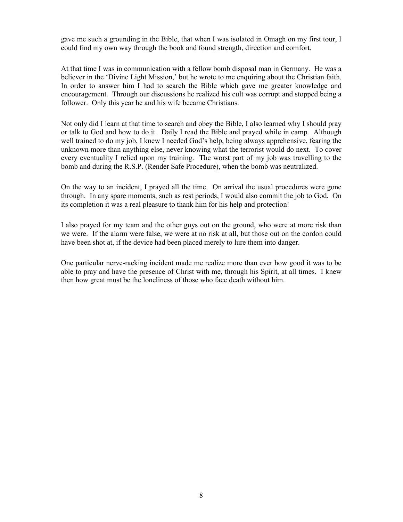gave me such a grounding in the Bible, that when I was isolated in Omagh on my first tour, I could find my own way through the book and found strength, direction and comfort.

At that time I was in communication with a fellow bomb disposal man in Germany. He was a believer in the 'Divine Light Mission,' but he wrote to me enquiring about the Christian faith. In order to answer him I had to search the Bible which gave me greater knowledge and encouragement. Through our discussions he realized his cult was corrupt and stopped being a follower. Only this year he and his wife became Christians.

Not only did I learn at that time to search and obey the Bible, I also learned why I should pray or talk to God and how to do it. Daily I read the Bible and prayed while in camp. Although well trained to do my job, I knew I needed God's help, being always apprehensive, fearing the unknown more than anything else, never knowing what the terrorist would do next. To cover every eventuality I relied upon my training. The worst part of my job was travelling to the bomb and during the R.S.P. (Render Safe Procedure), when the bomb was neutralized.

On the way to an incident, I prayed all the time. On arrival the usual procedures were gone through. In any spare moments, such as rest periods, I would also commit the job to God. On its completion it was a real pleasure to thank him for his help and protection!

I also prayed for my team and the other guys out on the ground, who were at more risk than we were. If the alarm were false, we were at no risk at all, but those out on the cordon could have been shot at, if the device had been placed merely to lure them into danger.

One particular nerve-racking incident made me realize more than ever how good it was to be able to pray and have the presence of Christ with me, through his Spirit, at all times. I knew then how great must be the loneliness of those who face death without him.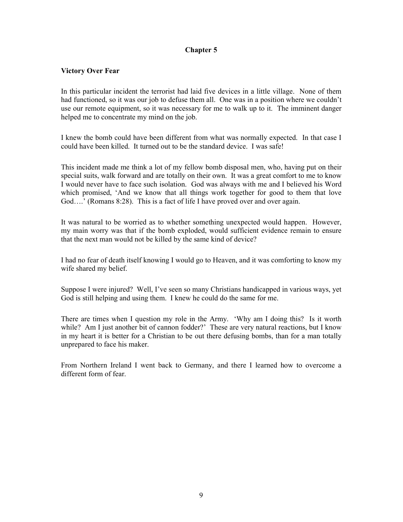#### Victory Over Fear

In this particular incident the terrorist had laid five devices in a little village. None of them had functioned, so it was our job to defuse them all. One was in a position where we couldn't use our remote equipment, so it was necessary for me to walk up to it. The imminent danger helped me to concentrate my mind on the job.

I knew the bomb could have been different from what was normally expected. In that case I could have been killed. It turned out to be the standard device. I was safe!

This incident made me think a lot of my fellow bomb disposal men, who, having put on their special suits, walk forward and are totally on their own. It was a great comfort to me to know I would never have to face such isolation. God was always with me and I believed his Word which promised, 'And we know that all things work together for good to them that love God....' (Romans 8:28). This is a fact of life I have proved over and over again.

It was natural to be worried as to whether something unexpected would happen. However, my main worry was that if the bomb exploded, would sufficient evidence remain to ensure that the next man would not be killed by the same kind of device?

I had no fear of death itself knowing I would go to Heaven, and it was comforting to know my wife shared my belief.

Suppose I were injured? Well, I've seen so many Christians handicapped in various ways, yet God is still helping and using them. I knew he could do the same for me.

There are times when I question my role in the Army. 'Why am I doing this? Is it worth while? Am I just another bit of cannon fodder?' These are very natural reactions, but I know in my heart it is better for a Christian to be out there defusing bombs, than for a man totally unprepared to face his maker.

From Northern Ireland I went back to Germany, and there I learned how to overcome a different form of fear.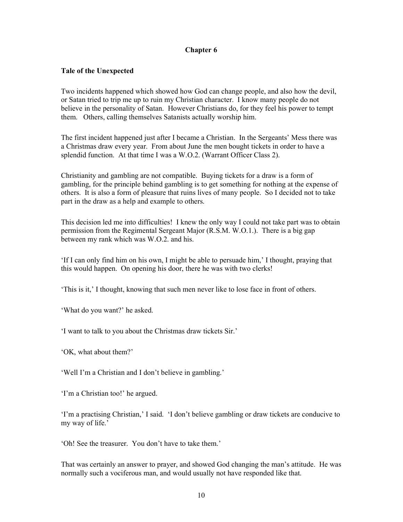#### Tale of the Unexpected

Two incidents happened which showed how God can change people, and also how the devil, or Satan tried to trip me up to ruin my Christian character. I know many people do not believe in the personality of Satan. However Christians do, for they feel his power to tempt them. Others, calling themselves Satanists actually worship him.

The first incident happened just after I became a Christian. In the Sergeants' Mess there was a Christmas draw every year. From about June the men bought tickets in order to have a splendid function. At that time I was a W.O.2. (Warrant Officer Class 2).

Christianity and gambling are not compatible. Buying tickets for a draw is a form of gambling, for the principle behind gambling is to get something for nothing at the expense of others. It is also a form of pleasure that ruins lives of many people. So I decided not to take part in the draw as a help and example to others.

This decision led me into difficulties! I knew the only way I could not take part was to obtain permission from the Regimental Sergeant Major (R.S.M. W.O.1.). There is a big gap between my rank which was W.O.2. and his.

'If I can only find him on his own, I might be able to persuade him,' I thought, praying that this would happen. On opening his door, there he was with two clerks!

'This is it,' I thought, knowing that such men never like to lose face in front of others.

'What do you want?' he asked.

'I want to talk to you about the Christmas draw tickets Sir.'

'OK, what about them?'

'Well I'm a Christian and I don't believe in gambling.'

'I'm a Christian too!' he argued.

'I'm a practising Christian,' I said. 'I don't believe gambling or draw tickets are conducive to my way of life.'

'Oh! See the treasurer. You don't have to take them.'

That was certainly an answer to prayer, and showed God changing the man's attitude. He was normally such a vociferous man, and would usually not have responded like that.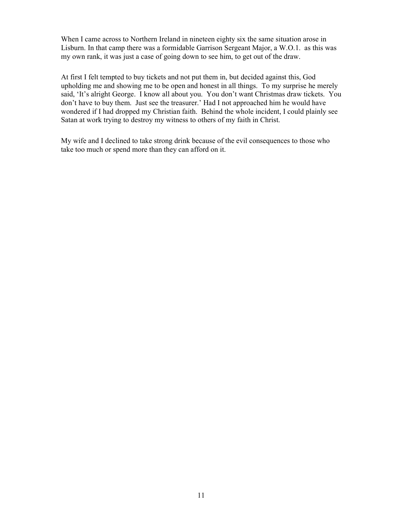When I came across to Northern Ireland in nineteen eighty six the same situation arose in Lisburn. In that camp there was a formidable Garrison Sergeant Major, a W.O.1. as this was my own rank, it was just a case of going down to see him, to get out of the draw.

At first I felt tempted to buy tickets and not put them in, but decided against this, God upholding me and showing me to be open and honest in all things. To my surprise he merely said, 'It's alright George. I know all about you. You don't want Christmas draw tickets. You don't have to buy them. Just see the treasurer.' Had I not approached him he would have wondered if I had dropped my Christian faith. Behind the whole incident, I could plainly see Satan at work trying to destroy my witness to others of my faith in Christ.

My wife and I declined to take strong drink because of the evil consequences to those who take too much or spend more than they can afford on it.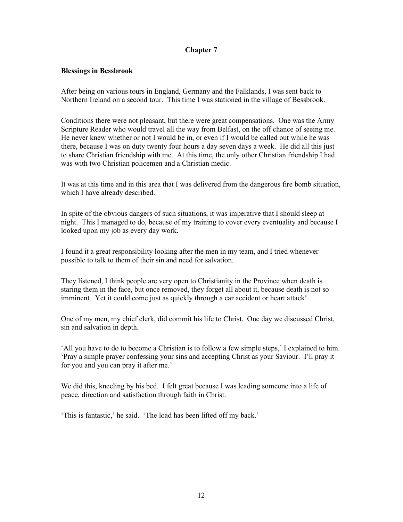#### Blessings in Bessbrook

After being on various tours in England, Germany and the Falklands, I was sent back to Northern Ireland on a second tour. This time I was stationed in the village of Bessbrook.

Conditions there were not pleasant, but there were great compensations. One was the Army Scripture Reader who would travel all the way from Belfast, on the off chance of seeing me. He never knew whether or not I would be in, or even if I would be called out while he was there, because I was on duty twenty four hours a day seven days a week. He did all this just to share Christian friendship with me. At this time, the only other Christian friendship I had was with two Christian policemen and a Christian medic.

It was at this time and in this area that I was delivered from the dangerous fire bomb situation, which I have already described.

In spite of the obvious dangers of such situations, it was imperative that I should sleep at night. This I managed to do, because of my training to cover every eventuality and because I looked upon my job as every day work.

I found it a great responsibility looking after the men in my team, and I tried whenever possible to talk to them of their sin and need for salvation.

They listened, I think people are very open to Christianity in the Province when death is staring them in the face, but once removed, they forget all about it, because death is not so imminent. Yet it could come just as quickly through a car accident or heart attack!

One of my men, my chief clerk, did commit his life to Christ. One day we discussed Christ, sin and salvation in depth.

'All you have to do to become a Christian is to follow a few simple steps,' I explained to him. 'Pray a simple prayer confessing your sins and accepting Christ as your Saviour. I'll pray it for you and you can pray it after me.'

We did this, kneeling by his bed. I felt great because I was leading someone into a life of peace, direction and satisfaction through faith in Christ.

'This is fantastic,' he said. 'The load has been lifted off my back.'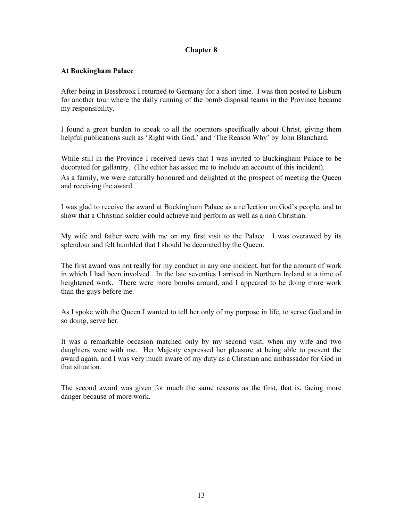#### At Buckingham Palace

After being in Bessbrook I returned to Germany for a short time. I was then posted to Lisburn for another tour where the daily running of the bomb disposal teams in the Province became my responsibility.

I found a great burden to speak to all the operators specifically about Christ, giving them helpful publications such as 'Right with God,' and 'The Reason Why' by John Blanchard.

While still in the Province I received news that I was invited to Buckingham Palace to be decorated for gallantry. (The editor has asked me to include an account of this incident). As a family, we were naturally honoured and delighted at the prospect of meeting the Queen and receiving the award.

I was glad to receive the award at Buckingham Palace as a reflection on God's people, and to show that a Christian soldier could achieve and perform as well as a non Christian.

My wife and father were with me on my first visit to the Palace. I was overawed by its splendour and felt humbled that I should be decorated by the Queen.

The first award was not really for my conduct in any one incident, but for the amount of work in which I had been involved. In the late seventies I arrived in Northern Ireland at a time of heightened work. There were more bombs around, and I appeared to be doing more work than the guys before me.

As I spoke with the Queen I wanted to tell her only of my purpose in life, to serve God and in so doing, serve her.

It was a remarkable occasion matched only by my second visit, when my wife and two daughters were with me. Her Majesty expressed her pleasure at being able to present the award again, and I was very much aware of my duty as a Christian and ambassador for God in that situation.

The second award was given for much the same reasons as the first, that is, facing more danger because of more work.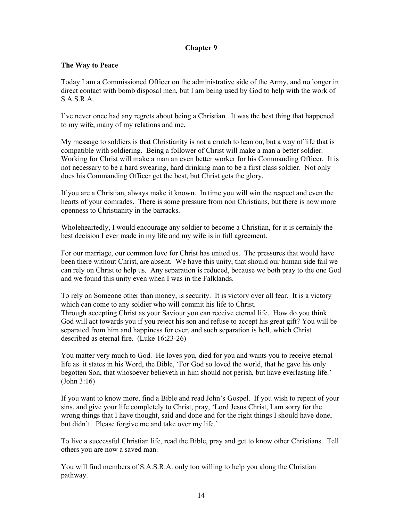#### The Way to Peace

Today I am a Commissioned Officer on the administrative side of the Army, and no longer in direct contact with bomb disposal men, but I am being used by God to help with the work of S.A.S.R.A.

I've never once had any regrets about being a Christian. It was the best thing that happened to my wife, many of my relations and me.

My message to soldiers is that Christianity is not a crutch to lean on, but a way of life that is compatible with soldiering. Being a follower of Christ will make a man a better soldier. Working for Christ will make a man an even better worker for his Commanding Officer. It is not necessary to be a hard swearing, hard drinking man to be a first class soldier. Not only does his Commanding Officer get the best, but Christ gets the glory.

If you are a Christian, always make it known. In time you will win the respect and even the hearts of your comrades. There is some pressure from non Christians, but there is now more openness to Christianity in the barracks.

Wholeheartedly, I would encourage any soldier to become a Christian, for it is certainly the best decision I ever made in my life and my wife is in full agreement.

For our marriage, our common love for Christ has united us. The pressures that would have been there without Christ, are absent. We have this unity, that should our human side fail we can rely on Christ to help us. Any separation is reduced, because we both pray to the one God and we found this unity even when I was in the Falklands.

To rely on Someone other than money, is security. It is victory over all fear. It is a victory which can come to any soldier who will commit his life to Christ. Through accepting Christ as your Saviour you can receive eternal life. How do you think God will act towards you if you reject his son and refuse to accept his great gift? You will be separated from him and happiness for ever, and such separation is hell, which Christ described as eternal fire. (Luke 16:23-26)

You matter very much to God. He loves you, died for you and wants you to receive eternal life as it states in his Word, the Bible, 'For God so loved the world, that he gave his only begotten Son, that whosoever believeth in him should not perish, but have everlasting life.' (John 3:16)

If you want to know more, find a Bible and read John's Gospel. If you wish to repent of your sins, and give your life completely to Christ, pray, 'Lord Jesus Christ, I am sorry for the wrong things that I have thought, said and done and for the right things I should have done, but didn't. Please forgive me and take over my life.'

To live a successful Christian life, read the Bible, pray and get to know other Christians. Tell others you are now a saved man.

You will find members of S.A.S.R.A. only too willing to help you along the Christian pathway.